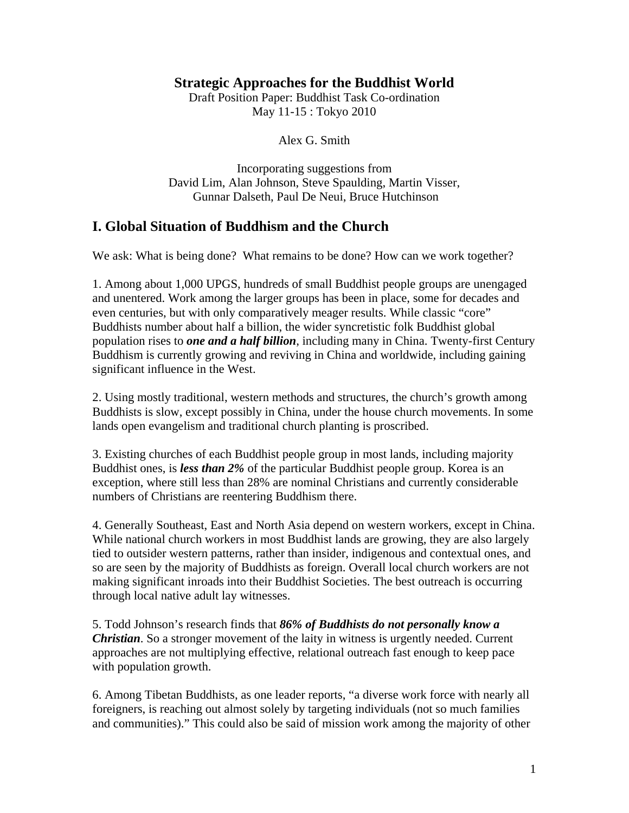#### **Strategic Approaches for the Buddhist World**

Draft Position Paper: Buddhist Task Co-ordination May 11-15 : Tokyo 2010

Alex G. Smith

Incorporating suggestions from David Lim, Alan Johnson, Steve Spaulding, Martin Visser, Gunnar Dalseth, Paul De Neui, Bruce Hutchinson

### **I. Global Situation of Buddhism and the Church**

We ask: What is being done? What remains to be done? How can we work together?

1. Among about 1,000 UPGS, hundreds of small Buddhist people groups are unengaged and unentered. Work among the larger groups has been in place, some for decades and even centuries, but with only comparatively meager results. While classic "core" Buddhists number about half a billion, the wider syncretistic folk Buddhist global population rises to *one and a half billion*, including many in China. Twenty-first Century Buddhism is currently growing and reviving in China and worldwide, including gaining significant influence in the West.

2. Using mostly traditional, western methods and structures, the church's growth among Buddhists is slow, except possibly in China, under the house church movements. In some lands open evangelism and traditional church planting is proscribed.

3. Existing churches of each Buddhist people group in most lands, including majority Buddhist ones, is *less than 2%* of the particular Buddhist people group. Korea is an exception, where still less than 28% are nominal Christians and currently considerable numbers of Christians are reentering Buddhism there.

4. Generally Southeast, East and North Asia depend on western workers, except in China. While national church workers in most Buddhist lands are growing, they are also largely tied to outsider western patterns, rather than insider, indigenous and contextual ones, and so are seen by the majority of Buddhists as foreign. Overall local church workers are not making significant inroads into their Buddhist Societies. The best outreach is occurring through local native adult lay witnesses.

5. Todd Johnson's research finds that *86% of Buddhists do not personally know a Christian*. So a stronger movement of the laity in witness is urgently needed. Current approaches are not multiplying effective, relational outreach fast enough to keep pace with population growth.

6. Among Tibetan Buddhists, as one leader reports, "a diverse work force with nearly all foreigners, is reaching out almost solely by targeting individuals (not so much families and communities)." This could also be said of mission work among the majority of other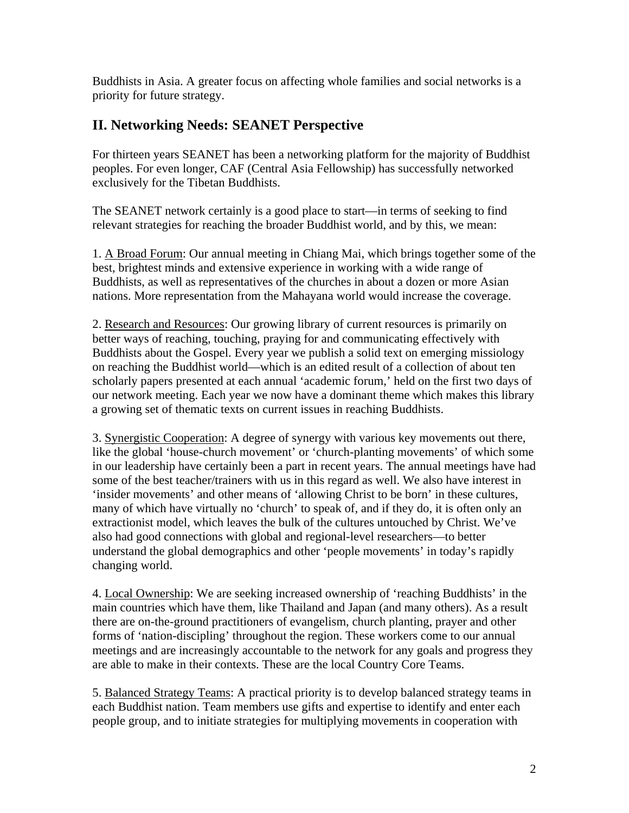Buddhists in Asia. A greater focus on affecting whole families and social networks is a priority for future strategy.

## **II. Networking Needs: SEANET Perspective**

For thirteen years SEANET has been a networking platform for the majority of Buddhist peoples. For even longer, CAF (Central Asia Fellowship) has successfully networked exclusively for the Tibetan Buddhists.

The SEANET network certainly is a good place to start—in terms of seeking to find relevant strategies for reaching the broader Buddhist world, and by this, we mean:

1. A Broad Forum: Our annual meeting in Chiang Mai, which brings together some of the best, brightest minds and extensive experience in working with a wide range of Buddhists, as well as representatives of the churches in about a dozen or more Asian nations. More representation from the Mahayana world would increase the coverage.

2. Research and Resources: Our growing library of current resources is primarily on better ways of reaching, touching, praying for and communicating effectively with Buddhists about the Gospel. Every year we publish a solid text on emerging missiology on reaching the Buddhist world—which is an edited result of a collection of about ten scholarly papers presented at each annual 'academic forum,' held on the first two days of our network meeting. Each year we now have a dominant theme which makes this library a growing set of thematic texts on current issues in reaching Buddhists.

3. Synergistic Cooperation: A degree of synergy with various key movements out there, like the global 'house-church movement' or 'church-planting movements' of which some in our leadership have certainly been a part in recent years. The annual meetings have had some of the best teacher/trainers with us in this regard as well. We also have interest in 'insider movements' and other means of 'allowing Christ to be born' in these cultures, many of which have virtually no 'church' to speak of, and if they do, it is often only an extractionist model, which leaves the bulk of the cultures untouched by Christ. We've also had good connections with global and regional-level researchers—to better understand the global demographics and other 'people movements' in today's rapidly changing world.

4. Local Ownership: We are seeking increased ownership of 'reaching Buddhists' in the main countries which have them, like Thailand and Japan (and many others). As a result there are on-the-ground practitioners of evangelism, church planting, prayer and other forms of 'nation-discipling' throughout the region. These workers come to our annual meetings and are increasingly accountable to the network for any goals and progress they are able to make in their contexts. These are the local Country Core Teams.

5. Balanced Strategy Teams: A practical priority is to develop balanced strategy teams in each Buddhist nation. Team members use gifts and expertise to identify and enter each people group, and to initiate strategies for multiplying movements in cooperation with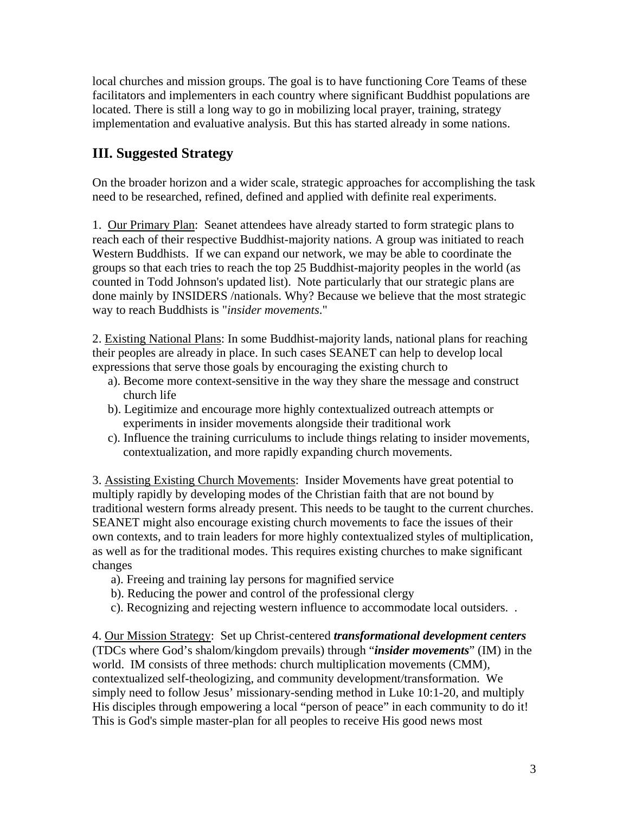local churches and mission groups. The goal is to have functioning Core Teams of these facilitators and implementers in each country where significant Buddhist populations are located. There is still a long way to go in mobilizing local prayer, training, strategy implementation and evaluative analysis. But this has started already in some nations.

## **III. Suggested Strategy**

On the broader horizon and a wider scale, strategic approaches for accomplishing the task need to be researched, refined, defined and applied with definite real experiments.

1. Our Primary Plan: Seanet attendees have already started to form strategic plans to reach each of their respective Buddhist-majority nations. A group was initiated to reach Western Buddhists. If we can expand our network, we may be able to coordinate the groups so that each tries to reach the top 25 Buddhist-majority peoples in the world (as counted in Todd Johnson's updated list). Note particularly that our strategic plans are done mainly by INSIDERS /nationals. Why? Because we believe that the most strategic way to reach Buddhists is "*insider movements*."

2. Existing National Plans: In some Buddhist-majority lands, national plans for reaching their peoples are already in place. In such cases SEANET can help to develop local expressions that serve those goals by encouraging the existing church to

- a). Become more context-sensitive in the way they share the message and construct church life
- b). Legitimize and encourage more highly contextualized outreach attempts or experiments in insider movements alongside their traditional work
- c). Influence the training curriculums to include things relating to insider movements, contextualization, and more rapidly expanding church movements.

3. Assisting Existing Church Movements: Insider Movements have great potential to multiply rapidly by developing modes of the Christian faith that are not bound by traditional western forms already present. This needs to be taught to the current churches. SEANET might also encourage existing church movements to face the issues of their own contexts, and to train leaders for more highly contextualized styles of multiplication, as well as for the traditional modes. This requires existing churches to make significant changes

- a). Freeing and training lay persons for magnified service
- b). Reducing the power and control of the professional clergy
- c). Recognizing and rejecting western influence to accommodate local outsiders. .

4. Our Mission Strategy: Set up Christ-centered *transformational development centers* (TDCs where God's shalom/kingdom prevails) through "*insider movements*" (IM) in the world. IM consists of three methods: church multiplication movements (CMM), contextualized self-theologizing, and community development/transformation. We simply need to follow Jesus' missionary-sending method in Luke 10:1-20, and multiply His disciples through empowering a local "person of peace" in each community to do it! This is God's simple master-plan for all peoples to receive His good news most